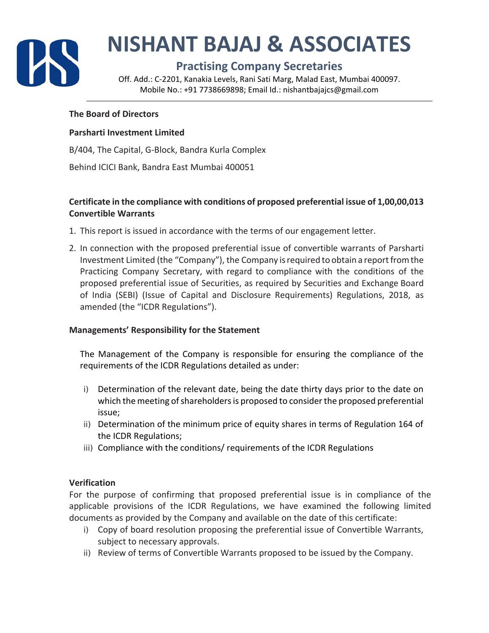

# **NISHANT BAJAJ & ASSOCIATES**

## **Practising Company Secretaries**

Off. Add.: C‐2201, Kanakia Levels, Rani Sati Marg, Malad East, Mumbai 400097. Mobile No.: +91 7738669898; Email Id.: nishantbajajcs@gmail.com

#### **The Board of Directors**

#### **Parsharti Investment Limited**

B/404, The Capital, G‐Block, Bandra Kurla Complex

Behind ICICI Bank, Bandra East Mumbai 400051

#### **Certificate in the compliance with conditions of proposed preferential issue of 1,00,00,013 Convertible Warrants**

- 1. This report is issued in accordance with the terms of our engagement letter.
- 2. In connection with the proposed preferential issue of convertible warrants of Parsharti Investment Limited (the "Company"), the Company is required to obtain a report from the Practicing Company Secretary, with regard to compliance with the conditions of the proposed preferential issue of Securities, as required by Securities and Exchange Board of India (SEBI) (Issue of Capital and Disclosure Requirements) Regulations, 2018, as amended (the "ICDR Regulations").

#### **Managements' Responsibility for the Statement**

The Management of the Company is responsible for ensuring the compliance of the requirements of the ICDR Regulations detailed as under:

- i) Determination of the relevant date, being the date thirty days prior to the date on which the meeting of shareholders is proposed to consider the proposed preferential issue;
- ii) Determination of the minimum price of equity shares in terms of Regulation 164 of the ICDR Regulations;
- iii) Compliance with the conditions/ requirements of the ICDR Regulations

#### **Verification**

For the purpose of confirming that proposed preferential issue is in compliance of the applicable provisions of the ICDR Regulations, we have examined the following limited documents as provided by the Company and available on the date of this certificate:

- i) Copy of board resolution proposing the preferential issue of Convertible Warrants, subject to necessary approvals.
- ii) Review of terms of Convertible Warrants proposed to be issued by the Company.